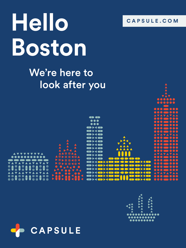

# **Hello [CAPSULE.COM](http://capsule.com) Boston**

## We're here to look after you